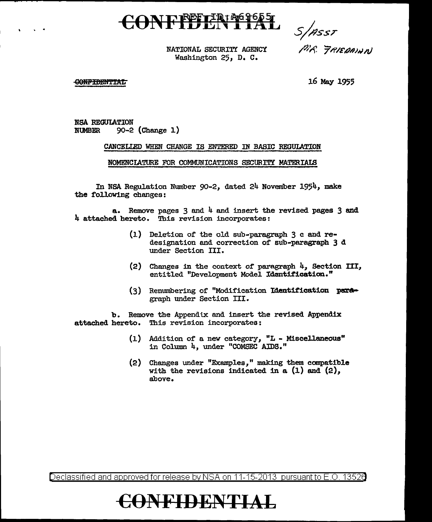# CONFILENTIAL

*s;?ssT* 

NATIONAL SECURITY AGENCY Washington 25, D. C.

PIR FRIEDAINN

#### **CONFIDENTIAL**

. .

16 May 1955

NSA REGULATION<br>NUMBER 90-2 90-2 (Change 1)

#### CANCELIED WHEN CHANGE IS ENTERED IN BABIC REGULATION

NOMENCIATURE FOR COMMUNICATIONS SECURITY MATERIAIB

In NSA Regulation Number 90-2, dated 24 November 1954, make the following changes:

a. Remove pages 3 and 4 and insert the revised pages 3 and 4 attached hereto. This revision incorporates:

- (1) Deletion of the old sub-paragraph 3 c and redesignation and correction of sub-paragraph 3 d under Section III.
- (2) Changes in the context or paragraph 4, Section III, entitled "Development Model Identification."
- (3) Renumbering of "Modification Identification paragraph under Section III.

b. Remove the Appendix and insert the revised Appendix attached hereto. This revision incorporates:

- (1) Addition of a. new category, "L Miscellaneous" in Column 4, under "COMSEC AIDS."
- (2) Changes under "Examples," making them compatible with the revisions indicated in a  $(1)$  and  $(2)$ , above.

Declassified and approved for release by NSA on 11-15-2013 pursuant to E .0. 1352a

### **€()NFIDENTIAL**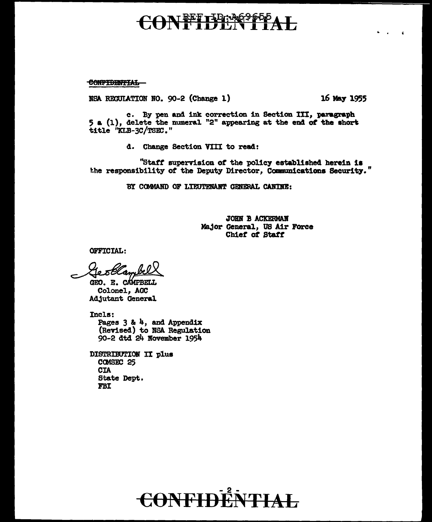# I<del>REFILD: 26965</del>

CONFIDENTIAL

NSA RECULATION NO. 90-2 (Change 1)

16 May 1955

c. By pen and ink correction in Section III, paragraph 5 a (1), delete the numeral "2" appearing at the end of the short title "KLB-3C/TSEC."

d. Change Section VIII to read:

"Staff supervision of the policy established herein is the responsibility of the Deputy Director, Communications Security."

BY COMMAND OF LIEUTENANT GENERAL CANINE:

JOHN B ACKERMAN Major General, US Air Force Chief of Staff

**OFFICIAL:** 

<del>s Olam</del>

GEO. E. CAMPBELL Colonel, AGC Adjutant General

Incls: Pages  $3$  &  $4$ , and Appendix (Revised) to NSA Regulation 90-2 dtd 24 November 1954

DISTRIBUTION II plus COMSEC 25 **CTA** State Dept. **FBI** 

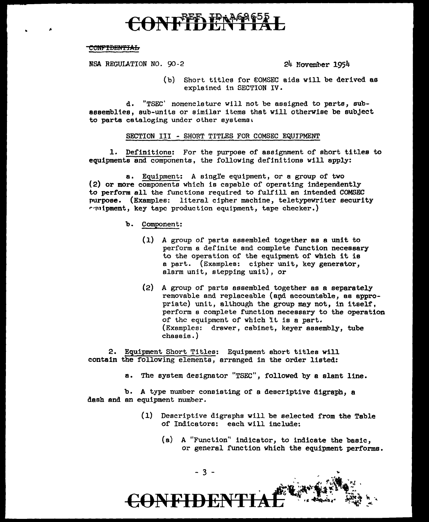# **REED IPAAA**

#### CONFIDENTIAL

NSA REGUIATION NO. 90-2 24 Movember 1954

(b) Short titles for €0MSEC aids will be derived as explained in SECTION IV.

d. "TSEC' nomenclature will not be assigned to parts, subassemblles, sub-units or similar items that will othervise be subject to parts cataloging under other systems.

#### SECTION III - SHORT TITLES FOR COMSEC EQUIPMENT

l. Definitions: For the purpose of assignment of short titles to equipments and components, the following definitions will apply:

a. Equipment: A single equipment, or a group of two (2) or more components which is capable of operating independently to perform all the functions required to fulfill an intended COMSEC purpose. (Examples: literal cipher machine, teletypewriter security rulpment, key tape production equipment, tape checker.)

- b. Component:
	- (1) A group of parts assembled together as a unit to perform a definite and complete function necessary to the operation of the equipment of which it is a part. (Examples: cipher unit, key generator, alarm unit, stepping unit}, or
	- (2) A group of parts assembled together as a separately removable and replaceable (epd accountable, as appropriate) unit, although the group may not, in itself, perform a complete function necessary to the operation of the equipment of which it is a part. (Examples: drawer, cabinet, keyer assembly, tube chassis.)

2. Equipment Short Titles: Equipment short titles will contain the following elements, arranged in the order listed:

a. The system designator "TSEC", followed by a slant line.

b. A type number consisting or a descriptive digraph, a dash and an equipment number.

- (l) Descriptive digraphs will be selected from the Table or Indicators: each will include:
	- (a) A "Function'' indicator, to indicate the basic, or general function which the equipment performs.

- 3 -

**ONFIDE!**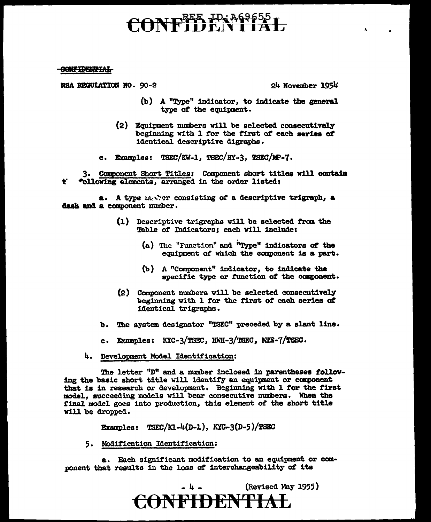# CONFIDENTIAL

**CONFIDENTIAL** 

 $\text{BSA}$  REGULATION NO. 90-2 24 November 1954

- (b) A "Type" indicator, to indicate the general type *ot* the equipnent.
- (2) Equipment numbers will be selected conaecutivel7 beginning With 1 tor the first of each aeries of identical descriptive digraphs.
- c. Examples:  $TSEC/KW-1$ ,  $TSEC/HY-3$ ,  $TSEC/MP-7$ .

t• 3. Component Short Titles: Component short titles will contain -Pollowing elements, arranged in the order listed:

a. A type marrier consisting of a descriptive trigraph, a dash and a component number.

- (1) Descriptive trigraphs will be selected trcn the Table of Indicators; each will include:
	- (a) The "Function" and i'Type" indicators *ot* the equipment *ot* which the component is a part;.
	- (b) A "Component" indicator, to indicate the specific type or function of the component.
- (2) Component numbers will be selected consecutively lieginning with 1 tor the first *ot* each aeries *ot*  identical trigraphs.
- b. The system designator "TSEC" preceded by a slant line.
- c. Examples:  $KXC-3/TSEC$ ,  $KWH-3/TSEC$ ,  $NTE-7/TSEC$ .
- 4. Development Model Identification:

The letter "D" and a number inclosed in parentheses following the basic short title will identify an equipment or canponent that is 1n research or development. Beginning with l for the first model., succeeding models will bear consecutive numbers. When the final model goes into production, this element of the short title will be dropped.

Examples:  $TSEC/KL-4(D-1), KYG-3(D-5)/TSEC$ 

5. Modification Identification:

a. Each significant modification to an equipment or component that results in the loss *ot* interchangeability of' its

> $\left(Revised$  May 1955) CONFIDENTIAL